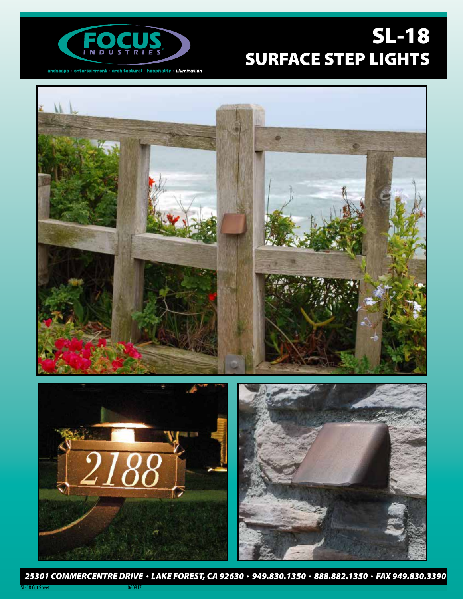

 $land \texttt{score} \cdot \texttt{entertainment} \cdot \texttt{architectural} \cdot \texttt{hostality} \cdot \textit{illumination}$ 

# SL-18 SURFACE STEP LIGHTS



*25301 COMMERCENTRE DRIVE LAKE FOREST, CA 92630 949.830.1350 888.882.1350 FAX 949.830.3390*